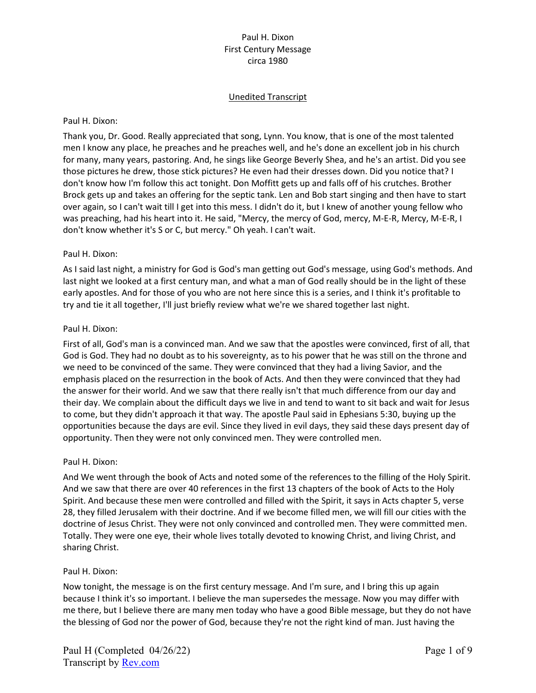# Unedited Transcript

#### Paul H. Dixon:

Thank you, Dr. Good. Really appreciated that song, Lynn. You know, that is one of the most talented men I know any place, he preaches and he preaches well, and he's done an excellent job in his church for many, many years, pastoring. And, he sings like George Beverly Shea, and he's an artist. Did you see those pictures he drew, those stick pictures? He even had their dresses down. Did you notice that? I don't know how I'm follow this act tonight. Don Moffitt gets up and falls off of his crutches. Brother Brock gets up and takes an offering for the septic tank. Len and Bob start singing and then have to start over again, so I can't wait till I get into this mess. I didn't do it, but I knew of another young fellow who was preaching, had his heart into it. He said, "Mercy, the mercy of God, mercy, M-E-R, Mercy, M-E-R, I don't know whether it's S or C, but mercy." Oh yeah. I can't wait.

### Paul H. Dixon:

As I said last night, a ministry for God is God's man getting out God's message, using God's methods. And last night we looked at a first century man, and what a man of God really should be in the light of these early apostles. And for those of you who are not here since this is a series, and I think it's profitable to try and tie it all together, I'll just briefly review what we're we shared together last night.

### Paul H. Dixon:

First of all, God's man is a convinced man. And we saw that the apostles were convinced, first of all, that God is God. They had no doubt as to his sovereignty, as to his power that he was still on the throne and we need to be convinced of the same. They were convinced that they had a living Savior, and the emphasis placed on the resurrection in the book of Acts. And then they were convinced that they had the answer for their world. And we saw that there really isn't that much difference from our day and their day. We complain about the difficult days we live in and tend to want to sit back and wait for Jesus to come, but they didn't approach it that way. The apostle Paul said in Ephesians 5:30, buying up the opportunities because the days are evil. Since they lived in evil days, they said these days present day of opportunity. Then they were not only convinced men. They were controlled men.

#### Paul H. Dixon:

And We went through the book of Acts and noted some of the references to the filling of the Holy Spirit. And we saw that there are over 40 references in the first 13 chapters of the book of Acts to the Holy Spirit. And because these men were controlled and filled with the Spirit, it says in Acts chapter 5, verse 28, they filled Jerusalem with their doctrine. And if we become filled men, we will fill our cities with the doctrine of Jesus Christ. They were not only convinced and controlled men. They were committed men. Totally. They were one eye, their whole lives totally devoted to knowing Christ, and living Christ, and sharing Christ.

# Paul H. Dixon:

Now tonight, the message is on the first century message. And I'm sure, and I bring this up again because I think it's so important. I believe the man supersedes the message. Now you may differ with me there, but I believe there are many men today who have a good Bible message, but they do not have the blessing of God nor the power of God, because they're not the right kind of man. Just having the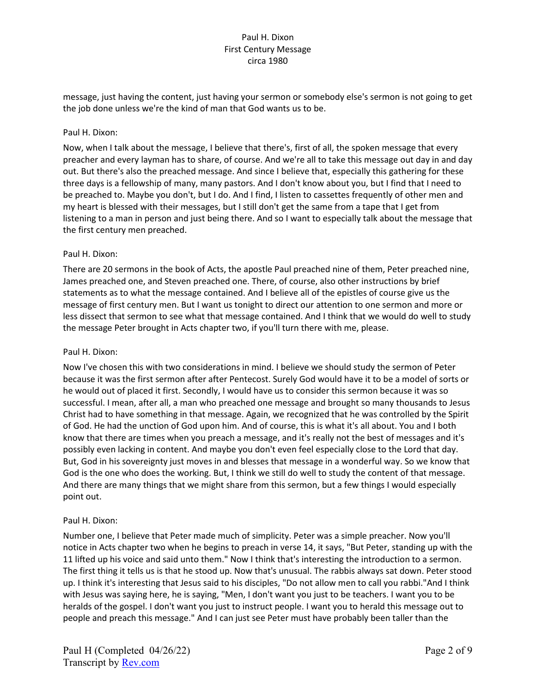message, just having the content, just having your sermon or somebody else's sermon is not going to get the job done unless we're the kind of man that God wants us to be.

## Paul H. Dixon:

Now, when I talk about the message, I believe that there's, first of all, the spoken message that every preacher and every layman has to share, of course. And we're all to take this message out day in and day out. But there's also the preached message. And since I believe that, especially this gathering for these three days is a fellowship of many, many pastors. And I don't know about you, but I find that I need to be preached to. Maybe you don't, but I do. And I find, I listen to cassettes frequently of other men and my heart is blessed with their messages, but I still don't get the same from a tape that I get from listening to a man in person and just being there. And so I want to especially talk about the message that the first century men preached.

### Paul H. Dixon:

There are 20 sermons in the book of Acts, the apostle Paul preached nine of them, Peter preached nine, James preached one, and Steven preached one. There, of course, also other instructions by brief statements as to what the message contained. And I believe all of the epistles of course give us the message of first century men. But I want us tonight to direct our attention to one sermon and more or less dissect that sermon to see what that message contained. And I think that we would do well to study the message Peter brought in Acts chapter two, if you'll turn there with me, please.

#### Paul H. Dixon:

Now I've chosen this with two considerations in mind. I believe we should study the sermon of Peter because it was the first sermon after after Pentecost. Surely God would have it to be a model of sorts or he would out of placed it first. Secondly, I would have us to consider this sermon because it was so successful. I mean, after all, a man who preached one message and brought so many thousands to Jesus Christ had to have something in that message. Again, we recognized that he was controlled by the Spirit of God. He had the unction of God upon him. And of course, this is what it's all about. You and I both know that there are times when you preach a message, and it's really not the best of messages and it's possibly even lacking in content. And maybe you don't even feel especially close to the Lord that day. But, God in his sovereignty just moves in and blesses that message in a wonderful way. So we know that God is the one who does the working. But, I think we still do well to study the content of that message. And there are many things that we might share from this sermon, but a few things I would especially point out.

#### Paul H. Dixon:

Number one, I believe that Peter made much of simplicity. Peter was a simple preacher. Now you'll notice in Acts chapter two when he begins to preach in verse 14, it says, "But Peter, standing up with the 11 lifted up his voice and said unto them." Now I think that's interesting the introduction to a sermon. The first thing it tells us is that he stood up. Now that's unusual. The rabbis always sat down. Peter stood up. I think it's interesting that Jesus said to his disciples, "Do not allow men to call you rabbi."And I think with Jesus was saying here, he is saying, "Men, I don't want you just to be teachers. I want you to be heralds of the gospel. I don't want you just to instruct people. I want you to herald this message out to people and preach this message." And I can just see Peter must have probably been taller than the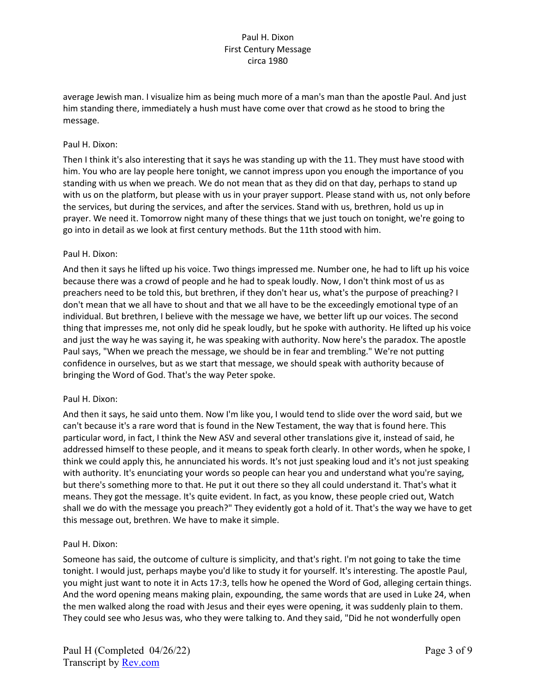average Jewish man. I visualize him as being much more of a man's man than the apostle Paul. And just him standing there, immediately a hush must have come over that crowd as he stood to bring the message.

## Paul H. Dixon:

Then I think it's also interesting that it says he was standing up with the 11. They must have stood with him. You who are lay people here tonight, we cannot impress upon you enough the importance of you standing with us when we preach. We do not mean that as they did on that day, perhaps to stand up with us on the platform, but please with us in your prayer support. Please stand with us, not only before the services, but during the services, and after the services. Stand with us, brethren, hold us up in prayer. We need it. Tomorrow night many of these things that we just touch on tonight, we're going to go into in detail as we look at first century methods. But the 11th stood with him.

### Paul H. Dixon:

And then it says he lifted up his voice. Two things impressed me. Number one, he had to lift up his voice because there was a crowd of people and he had to speak loudly. Now, I don't think most of us as preachers need to be told this, but brethren, if they don't hear us, what's the purpose of preaching? I don't mean that we all have to shout and that we all have to be the exceedingly emotional type of an individual. But brethren, I believe with the message we have, we better lift up our voices. The second thing that impresses me, not only did he speak loudly, but he spoke with authority. He lifted up his voice and just the way he was saying it, he was speaking with authority. Now here's the paradox. The apostle Paul says, "When we preach the message, we should be in fear and trembling." We're not putting confidence in ourselves, but as we start that message, we should speak with authority because of bringing the Word of God. That's the way Peter spoke.

#### Paul H. Dixon:

And then it says, he said unto them. Now I'm like you, I would tend to slide over the word said, but we can't because it's a rare word that is found in the New Testament, the way that is found here. This particular word, in fact, I think the New ASV and several other translations give it, instead of said, he addressed himself to these people, and it means to speak forth clearly. In other words, when he spoke, I think we could apply this, he annunciated his words. It's not just speaking loud and it's not just speaking with authority. It's enunciating your words so people can hear you and understand what you're saying, but there's something more to that. He put it out there so they all could understand it. That's what it means. They got the message. It's quite evident. In fact, as you know, these people cried out, Watch shall we do with the message you preach?" They evidently got a hold of it. That's the way we have to get this message out, brethren. We have to make it simple.

# Paul H. Dixon:

Someone has said, the outcome of culture is simplicity, and that's right. I'm not going to take the time tonight. I would just, perhaps maybe you'd like to study it for yourself. It's interesting. The apostle Paul, you might just want to note it in Acts 17:3, tells how he opened the Word of God, alleging certain things. And the word opening means making plain, expounding, the same words that are used in Luke 24, when the men walked along the road with Jesus and their eyes were opening, it was suddenly plain to them. They could see who Jesus was, who they were talking to. And they said, "Did he not wonderfully open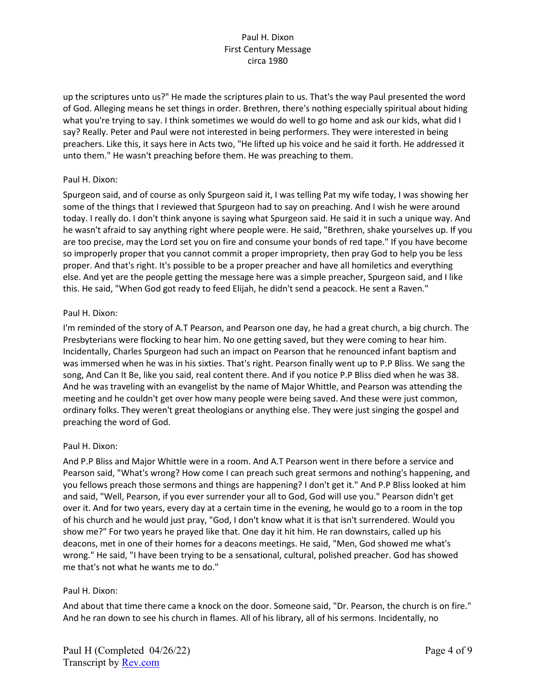up the scriptures unto us?" He made the scriptures plain to us. That's the way Paul presented the word of God. Alleging means he set things in order. Brethren, there's nothing especially spiritual about hiding what you're trying to say. I think sometimes we would do well to go home and ask our kids, what did I say? Really. Peter and Paul were not interested in being performers. They were interested in being preachers. Like this, it says here in Acts two, "He lifted up his voice and he said it forth. He addressed it unto them." He wasn't preaching before them. He was preaching to them.

### Paul H. Dixon:

Spurgeon said, and of course as only Spurgeon said it, I was telling Pat my wife today, I was showing her some of the things that I reviewed that Spurgeon had to say on preaching. And I wish he were around today. I really do. I don't think anyone is saying what Spurgeon said. He said it in such a unique way. And he wasn't afraid to say anything right where people were. He said, "Brethren, shake yourselves up. If you are too precise, may the Lord set you on fire and consume your bonds of red tape." If you have become so improperly proper that you cannot commit a proper impropriety, then pray God to help you be less proper. And that's right. It's possible to be a proper preacher and have all homiletics and everything else. And yet are the people getting the message here was a simple preacher, Spurgeon said, and I like this. He said, "When God got ready to feed Elijah, he didn't send a peacock. He sent a Raven."

### Paul H. Dixon:

I'm reminded of the story of A.T Pearson, and Pearson one day, he had a great church, a big church. The Presbyterians were flocking to hear him. No one getting saved, but they were coming to hear him. Incidentally, Charles Spurgeon had such an impact on Pearson that he renounced infant baptism and was immersed when he was in his sixties. That's right. Pearson finally went up to P.P Bliss. We sang the song, And Can It Be, like you said, real content there. And if you notice P.P Bliss died when he was 38. And he was traveling with an evangelist by the name of Major Whittle, and Pearson was attending the meeting and he couldn't get over how many people were being saved. And these were just common, ordinary folks. They weren't great theologians or anything else. They were just singing the gospel and preaching the word of God.

#### Paul H. Dixon:

And P.P Bliss and Major Whittle were in a room. And A.T Pearson went in there before a service and Pearson said, "What's wrong? How come I can preach such great sermons and nothing's happening, and you fellows preach those sermons and things are happening? I don't get it." And P.P Bliss looked at him and said, "Well, Pearson, if you ever surrender your all to God, God will use you." Pearson didn't get over it. And for two years, every day at a certain time in the evening, he would go to a room in the top of his church and he would just pray, "God, I don't know what it is that isn't surrendered. Would you show me?" For two years he prayed like that. One day it hit him. He ran downstairs, called up his deacons, met in one of their homes for a deacons meetings. He said, "Men, God showed me what's wrong." He said, "I have been trying to be a sensational, cultural, polished preacher. God has showed me that's not what he wants me to do."

# Paul H. Dixon:

And about that time there came a knock on the door. Someone said, "Dr. Pearson, the church is on fire." And he ran down to see his church in flames. All of his library, all of his sermons. Incidentally, no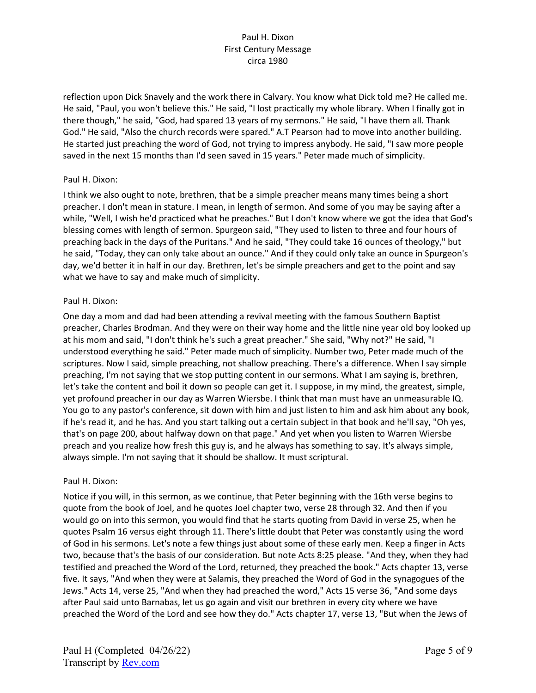reflection upon Dick Snavely and the work there in Calvary. You know what Dick told me? He called me. He said, "Paul, you won't believe this." He said, "I lost practically my whole library. When I finally got in there though," he said, "God, had spared 13 years of my sermons." He said, "I have them all. Thank God." He said, "Also the church records were spared." A.T Pearson had to move into another building. He started just preaching the word of God, not trying to impress anybody. He said, "I saw more people saved in the next 15 months than I'd seen saved in 15 years." Peter made much of simplicity.

### Paul H. Dixon:

I think we also ought to note, brethren, that be a simple preacher means many times being a short preacher. I don't mean in stature. I mean, in length of sermon. And some of you may be saying after a while, "Well, I wish he'd practiced what he preaches." But I don't know where we got the idea that God's blessing comes with length of sermon. Spurgeon said, "They used to listen to three and four hours of preaching back in the days of the Puritans." And he said, "They could take 16 ounces of theology," but he said, "Today, they can only take about an ounce." And if they could only take an ounce in Spurgeon's day, we'd better it in half in our day. Brethren, let's be simple preachers and get to the point and say what we have to say and make much of simplicity.

### Paul H. Dixon:

One day a mom and dad had been attending a revival meeting with the famous Southern Baptist preacher, Charles Brodman. And they were on their way home and the little nine year old boy looked up at his mom and said, "I don't think he's such a great preacher." She said, "Why not?" He said, "I understood everything he said." Peter made much of simplicity. Number two, Peter made much of the scriptures. Now I said, simple preaching, not shallow preaching. There's a difference. When I say simple preaching, I'm not saying that we stop putting content in our sermons. What I am saying is, brethren, let's take the content and boil it down so people can get it. I suppose, in my mind, the greatest, simple, yet profound preacher in our day as Warren Wiersbe. I think that man must have an unmeasurable IQ. You go to any pastor's conference, sit down with him and just listen to him and ask him about any book, if he's read it, and he has. And you start talking out a certain subject in that book and he'll say, "Oh yes, that's on page 200, about halfway down on that page." And yet when you listen to Warren Wiersbe preach and you realize how fresh this guy is, and he always has something to say. It's always simple, always simple. I'm not saying that it should be shallow. It must scriptural.

#### Paul H. Dixon:

Notice if you will, in this sermon, as we continue, that Peter beginning with the 16th verse begins to quote from the book of Joel, and he quotes Joel chapter two, verse 28 through 32. And then if you would go on into this sermon, you would find that he starts quoting from David in verse 25, when he quotes Psalm 16 versus eight through 11. There's little doubt that Peter was constantly using the word of God in his sermons. Let's note a few things just about some of these early men. Keep a finger in Acts two, because that's the basis of our consideration. But note Acts 8:25 please. "And they, when they had testified and preached the Word of the Lord, returned, they preached the book." Acts chapter 13, verse five. It says, "And when they were at Salamis, they preached the Word of God in the synagogues of the Jews." Acts 14, verse 25, "And when they had preached the word," Acts 15 verse 36, "And some days after Paul said unto Barnabas, let us go again and visit our brethren in every city where we have preached the Word of the Lord and see how they do." Acts chapter 17, verse 13, "But when the Jews of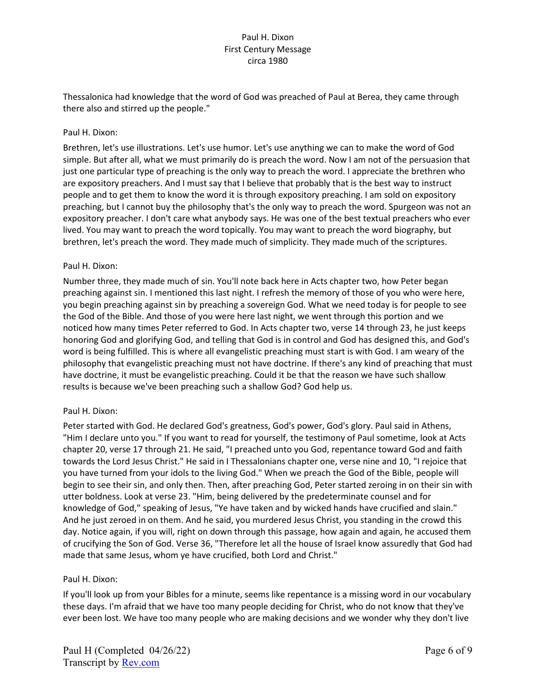Thessalonica had knowledge that the word of God was preached of Paul at Berea, they came through there also and stirred up the people."

# Paul H. Dixon:

Brethren, let's use illustrations. Let's use humor. Let's use anything we can to make the word of God simple. But after all, what we must primarily do is preach the word. Now I am not of the persuasion that just one particular type of preaching is the only way to preach the word. I appreciate the brethren who are expository preachers. And I must say that I believe that probably that is the best way to instruct people and to get them to know the word it is through expository preaching. I am sold on expository preaching, but I cannot buy the philosophy that's the only way to preach the word. Spurgeon was not an expository preacher. I don't care what anybody says. He was one of the best textual preachers who ever lived. You may want to preach the word topically. You may want to preach the word biography, but brethren, let's preach the word. They made much of simplicity. They made much of the scriptures.

#### Paul H. Dixon:

Number three, they made much of sin. You'll note back here in Acts chapter two, how Peter began preaching against sin. I mentioned this last night. I refresh the memory of those of you who were here, you begin preaching against sin by preaching a sovereign God. What we need today is for people to see the God of the Bible. And those of you were here last night, we went through this portion and we noticed how many times Peter referred to God. In Acts chapter two, verse 14 through 23, he just keeps honoring God and glorifying God, and telling that God is in control and God has designed this, and God's word is being fulfilled. This is where all evangelistic preaching must start is with God. I am weary of the philosophy that evangelistic preaching must not have doctrine. If there's any kind of preaching that must have doctrine, it must be evangelistic preaching. Could it be that the reason we have such shallow results is because we've been preaching such a shallow God? God help us.

# Paul H. Dixon:

Peter started with God. He declared God's greatness, God's power, God's glory. Paul said in Athens, "Him I declare unto you." If you want to read for yourself, the testimony of Paul sometime, look at Acts chapter 20, verse 17 through 21. He said, "I preached unto you God, repentance toward God and faith towards the Lord Jesus Christ." He said in I Thessalonians chapter one, verse nine and 10, "I rejoice that you have turned from your idols to the living God." When we preach the God of the Bible, people will begin to see their sin, and only then. Then, after preaching God, Peter started zeroing in on their sin with utter boldness. Look at verse 23. "Him, being delivered by the predeterminate counsel and for knowledge of God," speaking of Jesus, "Ye have taken and by wicked hands have crucified and slain." And he just zeroed in on them. And he said, you murdered Jesus Christ, you standing in the crowd this day. Notice again, if you will, right on down through this passage, how again and again, he accused them of crucifying the Son of God. Verse 36, "Therefore let all the house of Israel know assuredly that God had made that same Jesus, whom ye have crucified, both Lord and Christ."

# Paul H. Dixon:

If you'll look up from your Bibles for a minute, seems like repentance is a missing word in our vocabulary these days. I'm afraid that we have too many people deciding for Christ, who do not know that they've ever been lost. We have too many people who are making decisions and we wonder why they don't live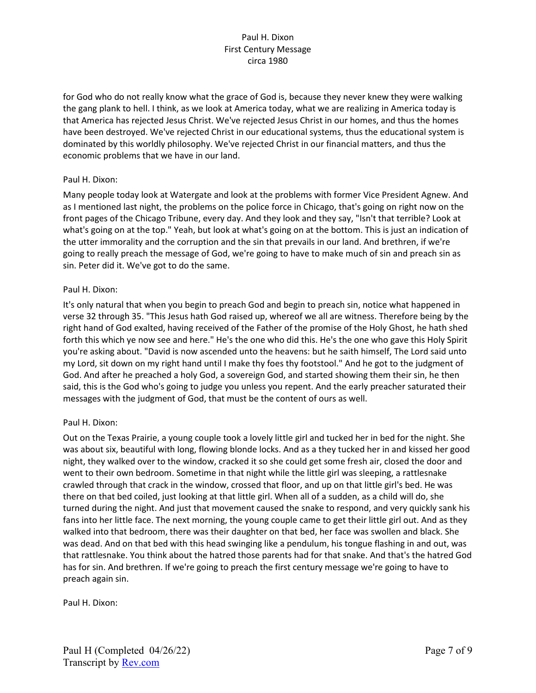for God who do not really know what the grace of God is, because they never knew they were walking the gang plank to hell. I think, as we look at America today, what we are realizing in America today is that America has rejected Jesus Christ. We've rejected Jesus Christ in our homes, and thus the homes have been destroyed. We've rejected Christ in our educational systems, thus the educational system is dominated by this worldly philosophy. We've rejected Christ in our financial matters, and thus the economic problems that we have in our land.

# Paul H. Dixon:

Many people today look at Watergate and look at the problems with former Vice President Agnew. And as I mentioned last night, the problems on the police force in Chicago, that's going on right now on the front pages of the Chicago Tribune, every day. And they look and they say, "Isn't that terrible? Look at what's going on at the top." Yeah, but look at what's going on at the bottom. This is just an indication of the utter immorality and the corruption and the sin that prevails in our land. And brethren, if we're going to really preach the message of God, we're going to have to make much of sin and preach sin as sin. Peter did it. We've got to do the same.

#### Paul H. Dixon:

It's only natural that when you begin to preach God and begin to preach sin, notice what happened in verse 32 through 35. "This Jesus hath God raised up, whereof we all are witness. Therefore being by the right hand of God exalted, having received of the Father of the promise of the Holy Ghost, he hath shed forth this which ye now see and here." He's the one who did this. He's the one who gave this Holy Spirit you're asking about. "David is now ascended unto the heavens: but he saith himself, The Lord said unto my Lord, sit down on my right hand until I make thy foes thy footstool." And he got to the judgment of God. And after he preached a holy God, a sovereign God, and started showing them their sin, he then said, this is the God who's going to judge you unless you repent. And the early preacher saturated their messages with the judgment of God, that must be the content of ours as well.

# Paul H. Dixon:

Out on the Texas Prairie, a young couple took a lovely little girl and tucked her in bed for the night. She was about six, beautiful with long, flowing blonde locks. And as a they tucked her in and kissed her good night, they walked over to the window, cracked it so she could get some fresh air, closed the door and went to their own bedroom. Sometime in that night while the little girl was sleeping, a rattlesnake crawled through that crack in the window, crossed that floor, and up on that little girl's bed. He was there on that bed coiled, just looking at that little girl. When all of a sudden, as a child will do, she turned during the night. And just that movement caused the snake to respond, and very quickly sank his fans into her little face. The next morning, the young couple came to get their little girl out. And as they walked into that bedroom, there was their daughter on that bed, her face was swollen and black. She was dead. And on that bed with this head swinging like a pendulum, his tongue flashing in and out, was that rattlesnake. You think about the hatred those parents had for that snake. And that's the hatred God has for sin. And brethren. If we're going to preach the first century message we're going to have to preach again sin.

Paul H. Dixon: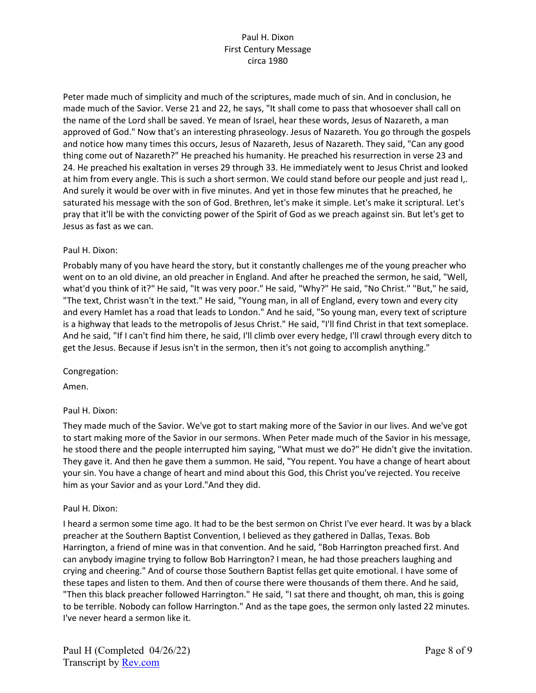Peter made much of simplicity and much of the scriptures, made much of sin. And in conclusion, he made much of the Savior. Verse 21 and 22, he says, "It shall come to pass that whosoever shall call on the name of the Lord shall be saved. Ye mean of Israel, hear these words, Jesus of Nazareth, a man approved of God." Now that's an interesting phraseology. Jesus of Nazareth. You go through the gospels and notice how many times this occurs, Jesus of Nazareth, Jesus of Nazareth. They said, "Can any good thing come out of Nazareth?" He preached his humanity. He preached his resurrection in verse 23 and 24. He preached his exaltation in verses 29 through 33. He immediately went to Jesus Christ and looked at him from every angle. This is such a short sermon. We could stand before our people and just read I,. And surely it would be over with in five minutes. And yet in those few minutes that he preached, he saturated his message with the son of God. Brethren, let's make it simple. Let's make it scriptural. Let's pray that it'll be with the convicting power of the Spirit of God as we preach against sin. But let's get to Jesus as fast as we can.

# Paul H. Dixon:

Probably many of you have heard the story, but it constantly challenges me of the young preacher who went on to an old divine, an old preacher in England. And after he preached the sermon, he said, "Well, what'd you think of it?" He said, "It was very poor." He said, "Why?" He said, "No Christ." "But," he said, "The text, Christ wasn't in the text." He said, "Young man, in all of England, every town and every city and every Hamlet has a road that leads to London." And he said, "So young man, every text of scripture is a highway that leads to the metropolis of Jesus Christ." He said, "I'll find Christ in that text someplace. And he said, "If I can't find him there, he said, I'll climb over every hedge, I'll crawl through every ditch to get the Jesus. Because if Jesus isn't in the sermon, then it's not going to accomplish anything."

Congregation:

Amen.

# Paul H. Dixon:

They made much of the Savior. We've got to start making more of the Savior in our lives. And we've got to start making more of the Savior in our sermons. When Peter made much of the Savior in his message, he stood there and the people interrupted him saying, "What must we do?" He didn't give the invitation. They gave it. And then he gave them a summon. He said, "You repent. You have a change of heart about your sin. You have a change of heart and mind about this God, this Christ you've rejected. You receive him as your Savior and as your Lord."And they did.

#### Paul H. Dixon:

I heard a sermon some time ago. It had to be the best sermon on Christ I've ever heard. It was by a black preacher at the Southern Baptist Convention, I believed as they gathered in Dallas, Texas. Bob Harrington, a friend of mine was in that convention. And he said, "Bob Harrington preached first. And can anybody imagine trying to follow Bob Harrington? I mean, he had those preachers laughing and crying and cheering." And of course those Southern Baptist fellas get quite emotional. I have some of these tapes and listen to them. And then of course there were thousands of them there. And he said, "Then this black preacher followed Harrington." He said, "I sat there and thought, oh man, this is going to be terrible. Nobody can follow Harrington." And as the tape goes, the sermon only lasted 22 minutes. I've never heard a sermon like it.